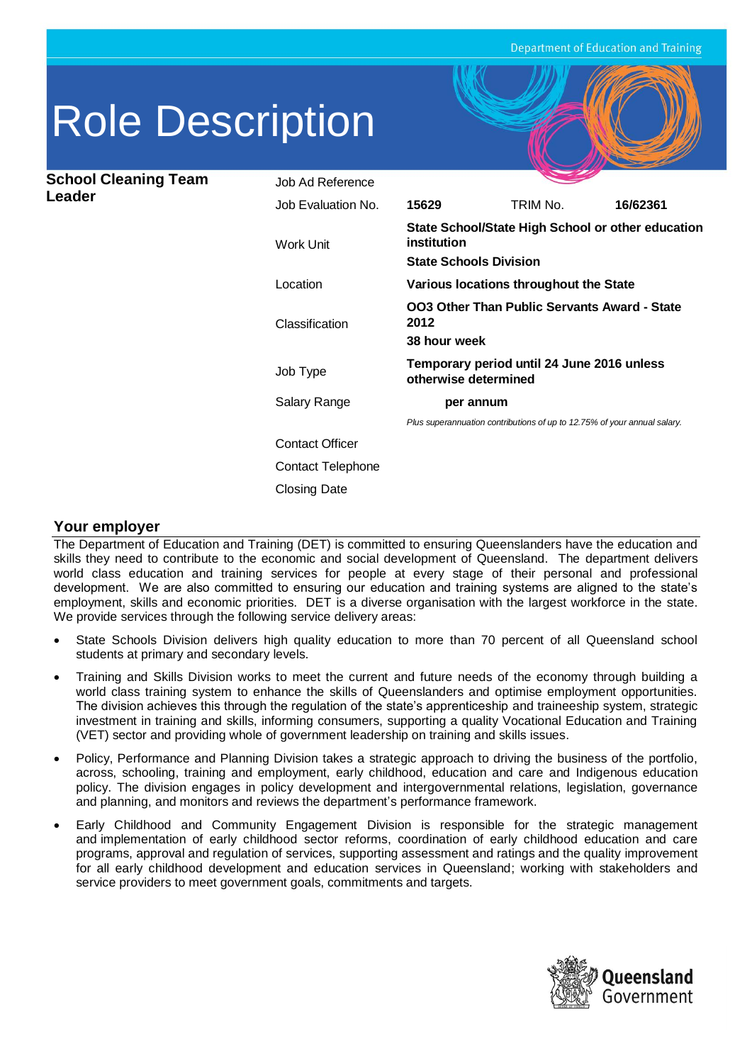# Role Description

**School Cleaning Team Leader**

| Job Ad Reference       |                                                                                                   |                                                                          |          |
|------------------------|---------------------------------------------------------------------------------------------------|--------------------------------------------------------------------------|----------|
| Job Evaluation No.     | 15629                                                                                             | TRIM No.                                                                 | 16/62361 |
| <b>Work Unit</b>       | State School/State High School or other education<br>institution<br><b>State Schools Division</b> |                                                                          |          |
| Location               | Various locations throughout the State                                                            |                                                                          |          |
| Classification         | <b>OO3 Other Than Public Servants Award - State</b><br>2012<br>38 hour week                       |                                                                          |          |
| Job Type               | Temporary period until 24 June 2016 unless<br>otherwise determined                                |                                                                          |          |
| Salary Range           | per annum                                                                                         |                                                                          |          |
|                        |                                                                                                   | Plus superannuation contributions of up to 12.75% of your annual salary. |          |
| <b>Contact Officer</b> |                                                                                                   |                                                                          |          |
| Contact Telephone      |                                                                                                   |                                                                          |          |
| <b>Closing Date</b>    |                                                                                                   |                                                                          |          |

## **Your employer**

The Department of Education and Training (DET) is committed to ensuring Queenslanders have the education and skills they need to contribute to the economic and social development of Queensland. The department delivers world class education and training services for people at every stage of their personal and professional development. We are also committed to ensuring our education and training systems are aligned to the state's employment, skills and economic priorities. DET is a diverse organisation with the largest workforce in the state. We provide services through the following service delivery areas:

- State Schools Division delivers high quality education to more than 70 percent of all Queensland school students at primary and secondary levels.
- Training and Skills Division works to meet the current and future needs of the economy through building a world class training system to enhance the skills of Queenslanders and optimise employment opportunities. The division achieves this through the regulation of the state's apprenticeship and traineeship system, strategic investment in training and skills, informing consumers, supporting a quality Vocational Education and Training (VET) sector and providing whole of government leadership on training and skills issues.
- Policy, Performance and Planning Division takes a strategic approach to driving the business of the portfolio, across, schooling, training and employment, early childhood, education and care and Indigenous education policy. The division engages in policy development and intergovernmental relations, legislation, governance and planning, and monitors and reviews the department's performance framework.
- Early Childhood and Community Engagement Division is responsible for the strategic management and implementation of early childhood sector reforms, coordination of early childhood education and care programs, approval and regulation of services, supporting assessment and ratings and the quality improvement for all early childhood development and education services in Queensland; working with stakeholders and service providers to meet government goals, commitments and targets.

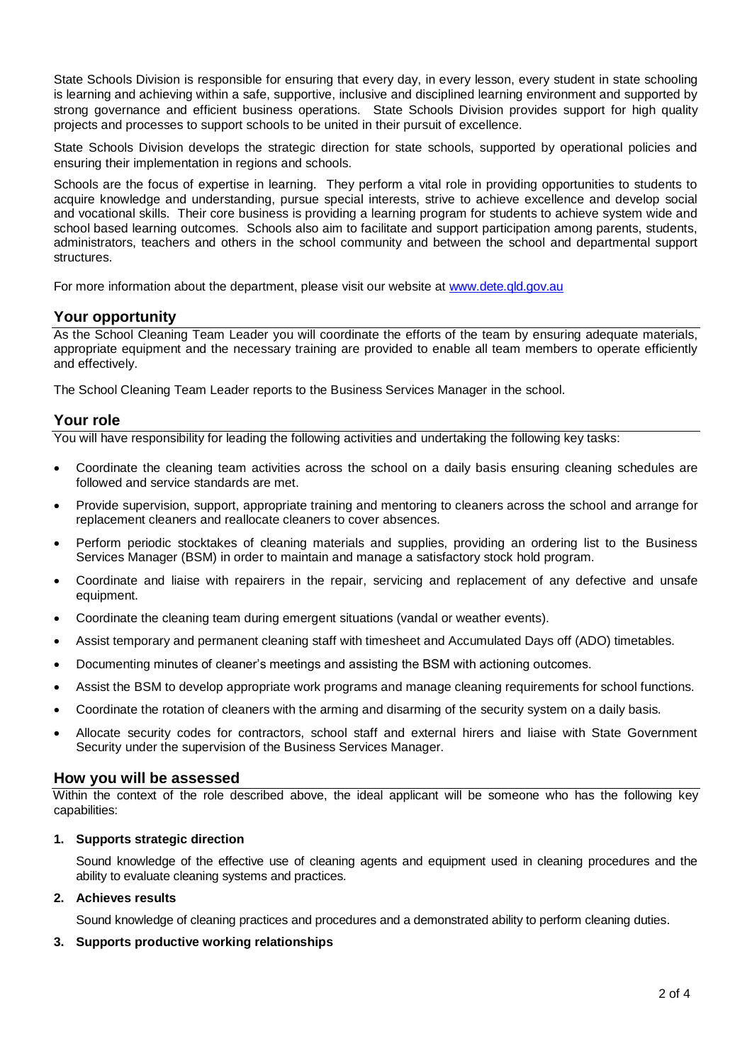State Schools Division is responsible for ensuring that every day, in every lesson, every student in state schooling is learning and achieving within a safe, supportive, inclusive and disciplined learning environment and supported by strong governance and efficient business operations. State Schools Division provides support for high quality projects and processes to support schools to be united in their pursuit of excellence.

State Schools Division develops the strategic direction for state schools, supported by operational policies and ensuring their implementation in regions and schools.

Schools are the focus of expertise in learning. They perform a vital role in providing opportunities to students to acquire knowledge and understanding, pursue special interests, strive to achieve excellence and develop social and vocational skills. Their core business is providing a learning program for students to achieve system wide and school based learning outcomes. Schools also aim to facilitate and support participation among parents, students, administrators, teachers and others in the school community and between the school and departmental support structures.

For more information about the department, please visit our website at [www.dete.qld.gov.au](http://www.dete.qld.gov.au/)

## **Your opportunity**

As the School Cleaning Team Leader you will coordinate the efforts of the team by ensuring adequate materials, appropriate equipment and the necessary training are provided to enable all team members to operate efficiently and effectively.

The School Cleaning Team Leader reports to the Business Services Manager in the school.

## **Your role**

You will have responsibility for leading the following activities and undertaking the following key tasks:

- Coordinate the cleaning team activities across the school on a daily basis ensuring cleaning schedules are followed and service standards are met.
- Provide supervision, support, appropriate training and mentoring to cleaners across the school and arrange for replacement cleaners and reallocate cleaners to cover absences.
- Perform periodic stocktakes of cleaning materials and supplies, providing an ordering list to the Business Services Manager (BSM) in order to maintain and manage a satisfactory stock hold program.
- Coordinate and liaise with repairers in the repair, servicing and replacement of any defective and unsafe equipment.
- Coordinate the cleaning team during emergent situations (vandal or weather events).
- Assist temporary and permanent cleaning staff with timesheet and Accumulated Days off (ADO) timetables.
- Documenting minutes of cleaner's meetings and assisting the BSM with actioning outcomes.
- Assist the BSM to develop appropriate work programs and manage cleaning requirements for school functions.
- Coordinate the rotation of cleaners with the arming and disarming of the security system on a daily basis.
- Allocate security codes for contractors, school staff and external hirers and liaise with State Government Security under the supervision of the Business Services Manager.

### **How you will be assessed**

Within the context of the role described above, the ideal applicant will be someone who has the following key capabilities:

#### **1. Supports strategic direction**

Sound knowledge of the effective use of cleaning agents and equipment used in cleaning procedures and the ability to evaluate cleaning systems and practices.

#### **2. Achieves results**

Sound knowledge of cleaning practices and procedures and a demonstrated ability to perform cleaning duties.

#### **3. Supports productive working relationships**